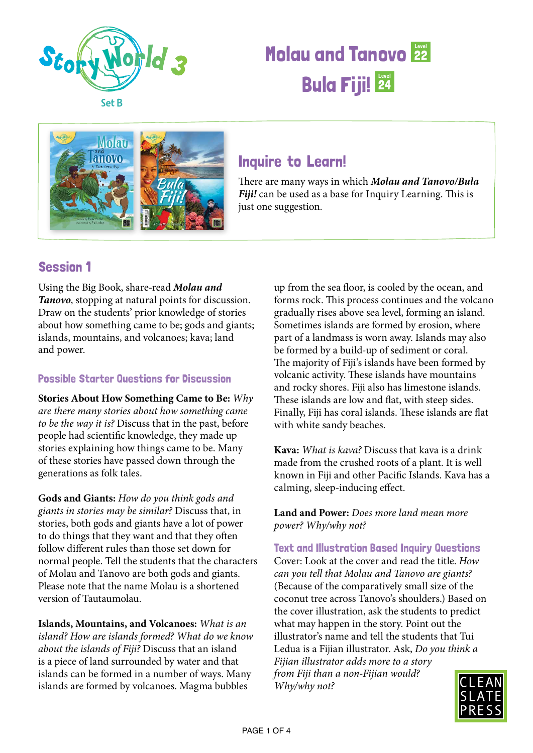

# **Molau and Tanovo 22 Bula Fiji! 24**



## Inquire to Learn!

There are many ways in which *Molau and Tanovo/Bula Fiji!* can be used as a base for Inquiry Learning. This is just one suggestion.

### Session 1

Using the Big Book, share-read *Molau and Tanovo*, stopping at natural points for discussion. Draw on the students' prior knowledge of stories about how something came to be; gods and giants; islands, mountains, and volcanoes; kava; land and power.

### Possible Starter Questions for Discussion

**Stories About How Something Came to Be:** *Why are there many stories about how something came to be the way it is?* Discuss that in the past, before people had scientific knowledge, they made up stories explaining how things came to be. Many of these stories have passed down through the generations as folk tales.

**Gods and Giants:** *How do you think gods and giants in stories may be similar?* Discuss that, in stories, both gods and giants have a lot of power to do things that they want and that they often follow different rules than those set down for normal people. Tell the students that the characters of Molau and Tanovo are both gods and giants. Please note that the name Molau is a shortened version of Tautaumolau.

**Islands, Mountains, and Volcanoes:** *What is an island? How are islands formed? What do we know about the islands of Fiji?* Discuss that an island is a piece of land surrounded by water and that islands can be formed in a number of ways. Many islands are formed by volcanoes. Magma bubbles

up from the sea floor, is cooled by the ocean, and forms rock. This process continues and the volcano gradually rises above sea level, forming an island. Sometimes islands are formed by erosion, where part of a landmass is worn away. Islands may also be formed by a build-up of sediment or coral. The majority of Fiji's islands have been formed by volcanic activity. These islands have mountains and rocky shores. Fiji also has limestone islands. These islands are low and flat, with steep sides. Finally, Fiji has coral islands. These islands are flat with white sandy beaches.

**Kava:** *What is kava?* Discuss that kava is a drink made from the crushed roots of a plant. It is well known in Fiji and other Pacific Islands. Kava has a calming, sleep-inducing effect.

**Land and Power:** *Does more land mean more power? Why/why not?*

Text and Illustration Based Inquiry Questions Cover: Look at the cover and read the title. *How can you tell that Molau and Tanovo are giants?*  (Because of the comparatively small size of the coconut tree across Tanovo's shoulders.) Based on the cover illustration, ask the students to predict what may happen in the story. Point out the illustrator's name and tell the students that Tui Ledua is a Fijian illustrator. Ask, *Do you think a Fijian illustrator adds more to a story from Fiji than a non-Fijian would?* 



*Why/why not?*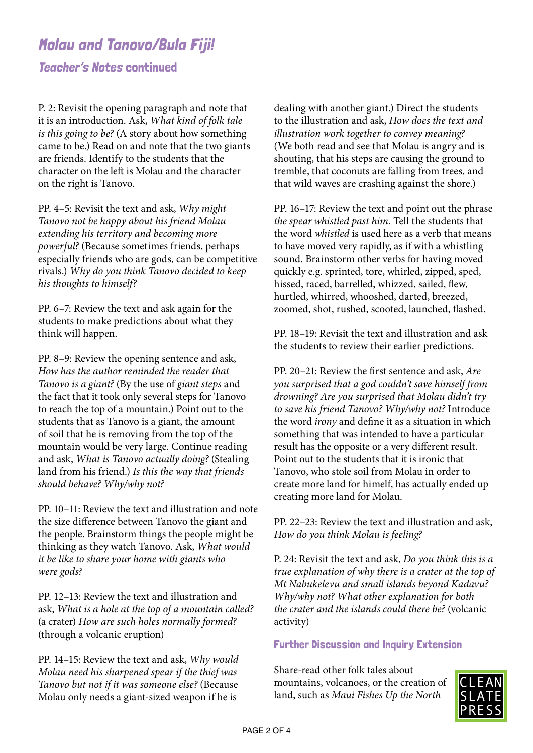# Molau and Tanovo/Bula Fiji!

Teacher's Notes continued

P. 2: Revisit the opening paragraph and note that it is an introduction. Ask, *What kind of folk tale is this going to be?* (A story about how something came to be.) Read on and note that the two giants are friends. Identify to the students that the character on the left is Molau and the character on the right is Tanovo.

PP. 4–5: Revisit the text and ask, *Why might Tanovo not be happy about his friend Molau extending his territory and becoming more powerful?* (Because sometimes friends, perhaps especially friends who are gods, can be competitive rivals.) *Why do you think Tanovo decided to keep his thoughts to himself?*

PP. 6–7: Review the text and ask again for the students to make predictions about what they think will happen.

PP. 8–9: Review the opening sentence and ask, *How has the author reminded the reader that Tanovo is a giant?* (By the use of *giant steps* and the fact that it took only several steps for Tanovo to reach the top of a mountain.) Point out to the students that as Tanovo is a giant, the amount of soil that he is removing from the top of the mountain would be very large. Continue reading and ask, *What is Tanovo actually doing?* (Stealing land from his friend.) *Is this the way that friends should behave? Why/why not?*

PP. 10–11: Review the text and illustration and note the size difference between Tanovo the giant and the people. Brainstorm things the people might be thinking as they watch Tanovo. Ask, *What would it be like to share your home with giants who were gods?*

PP. 12–13: Review the text and illustration and ask, *What is a hole at the top of a mountain called?*  (a crater) *How are such holes normally formed?*  (through a volcanic eruption)

PP. 14–15: Review the text and ask, *Why would Molau need his sharpened spear if the thief was Tanovo but not if it was someone else?* (Because Molau only needs a giant-sized weapon if he is

dealing with another giant.) Direct the students to the illustration and ask, *How does the text and illustration work together to convey meaning?*  (We both read and see that Molau is angry and is shouting, that his steps are causing the ground to tremble, that coconuts are falling from trees, and that wild waves are crashing against the shore.)

PP. 16–17: Review the text and point out the phrase *the spear whistled past him.* Tell the students that the word *whistled* is used here as a verb that means to have moved very rapidly, as if with a whistling sound. Brainstorm other verbs for having moved quickly e.g. sprinted, tore, whirled, zipped, sped, hissed, raced, barrelled, whizzed, sailed, flew, hurtled, whirred, whooshed, darted, breezed, zoomed, shot, rushed, scooted, launched, flashed.

PP. 18–19: Revisit the text and illustration and ask the students to review their earlier predictions.

PP. 20–21: Review the first sentence and ask, *Are you surprised that a god couldn't save himself from drowning? Are you surprised that Molau didn't try to save his friend Tanovo? Why/why not?* Introduce the word *irony* and define it as a situation in which something that was intended to have a particular result has the opposite or a very different result. Point out to the students that it is ironic that Tanovo, who stole soil from Molau in order to create more land for himelf, has actually ended up creating more land for Molau.

PP. 22–23: Review the text and illustration and ask, *How do you think Molau is feeling?* 

P. 24: Revisit the text and ask, *Do you think this is a true explanation of why there is a crater at the top of Mt Nabukelevu and small islands beyond Kadavu? Why/why not? What other explanation for both the crater and the islands could there be?* (volcanic activity)

Further Discussion and Inquiry Extension

Share-read other folk tales about mountains, volcanoes, or the creation of land, such as *Maui Fishes Up the North* 

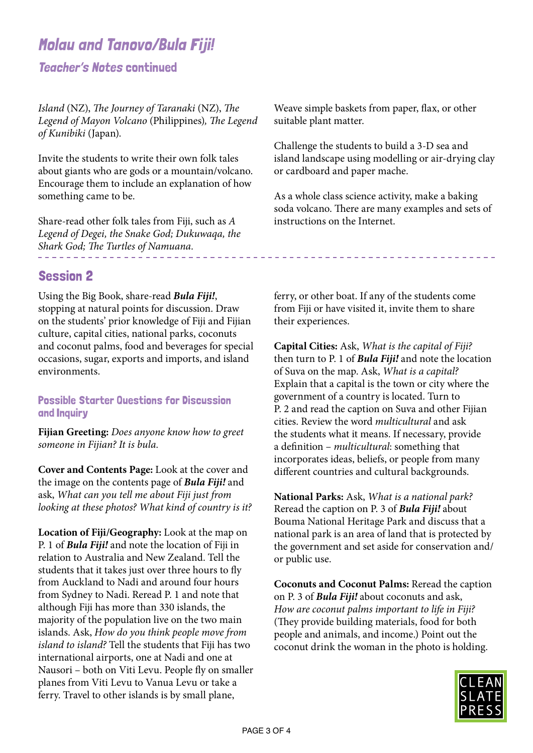# Molau and Tanovo/Bula Fiji!

Teacher's Notes continued

*Island* (NZ), *The Journey of Taranaki* (NZ), *The Legend of Mayon Volcano* (Philippines)*, The Legend of Kunibiki* (Japan).

Invite the students to write their own folk tales about giants who are gods or a mountain/volcano. Encourage them to include an explanation of how something came to be.

Share-read other folk tales from Fiji, such as *A Legend of Degei, the Snake God; Dukuwaqa, the Shark God; The Turtles of Namuana.*

Session 2

Using the Big Book, share-read *Bula Fiji!*, stopping at natural points for discussion. Draw on the students' prior knowledge of Fiji and Fijian culture, capital cities, national parks, coconuts and coconut palms, food and beverages for special occasions, sugar, exports and imports, and island environments.

#### Possible Starter Questions for Discussion and Inquiry

**Fijian Greeting:** *Does anyone know how to greet someone in Fijian? It is bula.*

**Cover and Contents Page:** Look at the cover and the image on the contents page of *Bula Fiji!* and ask, *What can you tell me about Fiji just from looking at these photos? What kind of country is it?* 

**Location of Fiji/Geography:** Look at the map on P. 1 of *Bula Fiji!* and note the location of Fiji in relation to Australia and New Zealand. Tell the students that it takes just over three hours to fly from Auckland to Nadi and around four hours from Sydney to Nadi. Reread P. 1 and note that although Fiji has more than 330 islands, the majority of the population live on the two main islands. Ask, *How do you think people move from island to island?* Tell the students that Fiji has two international airports, one at Nadi and one at Nausori – both on Viti Levu. People fly on smaller planes from Viti Levu to Vanua Levu or take a ferry. Travel to other islands is by small plane,

Weave simple baskets from paper, flax, or other suitable plant matter.

Challenge the students to build a 3-D sea and island landscape using modelling or air-drying clay or cardboard and paper mache.

As a whole class science activity, make a baking soda volcano. There are many examples and sets of instructions on the Internet.

------------------------------

ferry, or other boat. If any of the students come from Fiji or have visited it, invite them to share their experiences.

**Capital Cities:** Ask, *What is the capital of Fiji?*  then turn to P. 1 of *Bula Fiji!* and note the location of Suva on the map. Ask, *What is a capital?*  Explain that a capital is the town or city where the government of a country is located. Turn to P. 2 and read the caption on Suva and other Fijian cities. Review the word *multicultural* and ask the students what it means. If necessary, provide a definition – *multicultural*: something that incorporates ideas, beliefs, or people from many different countries and cultural backgrounds.

**National Parks:** Ask, *What is a national park?*  Reread the caption on P. 3 of *Bula Fiji!* about Bouma National Heritage Park and discuss that a national park is an area of land that is protected by the government and set aside for conservation and/ or public use.

**Coconuts and Coconut Palms:** Reread the caption on P. 3 of *Bula Fiji!* about coconuts and ask, *How are coconut palms important to life in Fiji?*  (They provide building materials, food for both people and animals, and income.) Point out the coconut drink the woman in the photo is holding.